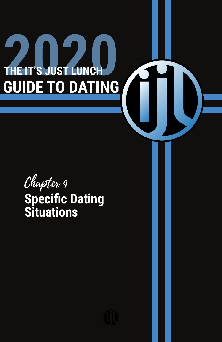## turn out as planned. Don't try to force a relationship to work or invest time trying to change someone. The whole purpose is to avoid ending up in divorce court. Why would you want to close a deal that has the wrong foundation of the wrong foundation of the wrong foundation of the wrong parts. If you have seen or eight of the signs below in  $\mathcal{L}$ **GUIDE TO DATING** *Nine Signs for Recognizing Mr. or Ms. Right* **2020 CHE IT'S JUST LUNCH**

-You listen to each other.

place with your self-esteem. Be ready to walk away if things don't

-He or she is a cheerleader for your hopes and dreams. -You tell them what you want in a relationship and he or she

-Your partner is genuine, trustworthy and understanding. -You can both compromise and work together to resolve

-You have a similar approach to life (values, morals, goals). Chapter 9

### -Your partner shows you kindness, consideration and respect.  $\blacksquare$ **Specific Dating<br>Cityotions** A relationship is a two-way street. Don't forget that you need to **Situations**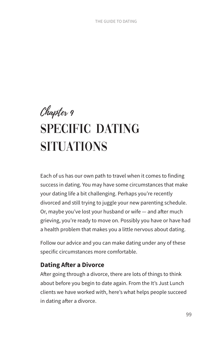# Chapter 9 Specific Dating **SITUATIONS**

Each of us has our own path to travel when it comes to finding success in dating. You may have some circumstances that make your dating life a bit challenging. Perhaps you're recently divorced and still trying to juggle your new parenting schedule. Or, maybe you've lost your husband or wife — and after much grieving, you're ready to move on. Possibly you have or have had a health problem that makes you a little nervous about dating.

Follow our advice and you can make dating under any of these specific circumstances more comfortable.

## **Dating After a Divorce**

After going through a divorce, there are lots of things to think about before you begin to date again. From the It's Just Lunch clients we have worked with, here's what helps people succeed in dating after a divorce.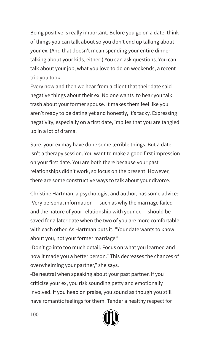Being positive is really important. Before you go on a date, think of things you can talk about so you don't end up talking about your ex. (And that doesn't mean spending your entire dinner talking about your kids, either!) You can ask questions. You can talk about your job, what you love to do on weekends, a recent trip you took.

Every now and then we hear from a client that their date said negative things about their ex. No one wants to hear you talk trash about your former spouse. It makes them feel like you aren't ready to be dating yet and honestly, it's tacky. Expressing negativity, especially on a first date, implies that you are tangled up in a lot of drama.

Sure, your ex may have done some terrible things. But a date isn't a therapy session. You want to make a good first impression on your first date. You are both there because your past relationships didn't work, so focus on the present. However, there are some constructive ways to talk about your divorce.

Christine Hartman, a psychologist and author, has some advice: -Very personal information — such as why the marriage failed and the nature of your relationship with your ex — should be saved for a later date when the two of you are more comfortable with each other. As Hartman puts it, "Your date wants to know about you, not your former marriage."

-Don't go into too much detail. Focus on what you learned and how it made you a better person." This decreases the chances of overwhelming your partner," she says.

-Be neutral when speaking about your past partner. If you criticize your ex, you risk sounding petty and emotionally involved. If you heap on praise, you sound as though you still have romantic feelings for them. Tender a healthy respect for

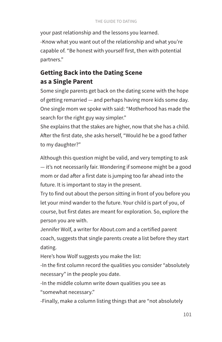your past relationship and the lessons you learned. -Know what you want out of the relationship and what you're capable of. "Be honest with yourself first, then with potential partners."

## **Getting Back into the Dating Scene as a Single Parent**

Some single parents get back on the dating scene with the hope of getting remarried — and perhaps having more kids some day. One single mom we spoke with said: "Motherhood has made the search for the right guy way simpler."

She explains that the stakes are higher, now that she has a child. After the first date, she asks herself, "Would he be a good father to my daughter?"

Although this question might be valid, and very tempting to ask — it's not necessarily fair. Wondering if someone might be a good mom or dad after a first date is jumping too far ahead into the future. It is important to stay in the present.

Try to find out about the person sitting in front of you before you let your mind wander to the future. Your child is part of you, of course, but first dates are meant for exploration. So, explore the person you are with.

Jennifer Wolf, a writer for About.com and a certified parent coach, suggests that single parents create a list before they start dating.

Here's how Wolf suggests you make the list:

-In the first column record the qualities you consider "absolutely necessary" in the people you date.

-In the middle column write down qualities you see as "somewhat necessary."

-Finally, make a column listing things that are "not absolutely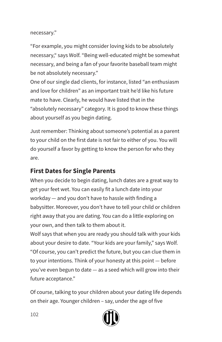#### necessary."

"For example, you might consider loving kids to be absolutely necessary," says Wolf. "Being well-educated might be somewhat necessary, and being a fan of your favorite baseball team might be not absolutely necessary."

One of our single dad clients, for instance, listed "an enthusiasm and love for children" as an important trait he'd like his future mate to have. Clearly, he would have listed that in the "absolutely necessary" category. It is good to know these things about yourself as you begin dating.

Just remember: Thinking about someone's potential as a parent to your child on the first date is not fair to either of you. You will do yourself a favor by getting to know the person for who they are.

## **First Dates for Single Parents**

When you decide to begin dating, lunch dates are a great way to get your feet wet. You can easily fit a lunch date into your workday — and you don't have to hassle with finding a babysitter. Moreover, you don't have to tell your child or children right away that you are dating. You can do a little exploring on your own, and then talk to them about it.

Wolf says that when you are ready you should talk with your kids about your desire to date. "Your kids are your family," says Wolf. "Of course, you can't predict the future, but you can clue them in to your intentions. Think of your honesty at this point — before you've even begun to date — as a seed which will grow into their future acceptance."

Of course, talking to your children about your dating life depends on their age. Younger children – say, under the age of five

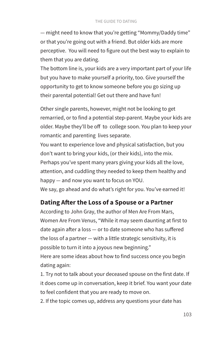— might need to know that you're getting "Mommy/Daddy time" or that you're going out with a friend. But older kids are more perceptive. You will need to figure out the best way to explain to them that you are dating.

The bottom line is, your kids are a very important part of your life but you have to make yourself a priority, too. Give yourself the opportunity to get to know someone before you go sizing up their parental potential! Get out there and have fun!

Other single parents, however, might not be looking to get remarried, or to find a potential step-parent. Maybe your kids are older. Maybe they'll be off to college soon. You plan to keep your romantic and parenting lives separate.

You want to experience love and physical satisfaction, but you don't want to bring your kids, (or their kids), into the mix. Perhaps you've spent many years giving your kids all the love, attention, and cuddling they needed to keep them healthy and happy — and now you want to focus on YOU.

We say, go ahead and do what's right for you. You've earned it!

## **Dating After the Loss of a Spouse or a Partner**

According to John Gray, the author of Men Are From Mars, Women Are From Venus, "While it may seem daunting at first to date again after a loss — or to date someone who has suffered the loss of a partner — with a little strategic sensitivity, it is possible to turn it into a joyous new beginning." Here are some ideas about how to find success once you begin dating again:

1. Try not to talk about your deceased spouse on the first date. If it does come up in conversation, keep it brief. You want your date to feel confident that you are ready to move on.

2. If the topic comes up, address any questions your date has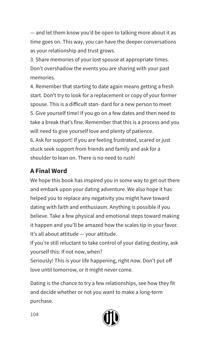— and let them know you'd be open to talking more about it as time goes on. This way, you can have the deeper conversations as your relationship and trust grows.

3. Share memories of your lost spouse at appropriate times. Don't overshadow the events you are sharing with your past memories.

4. Remember that starting to date again means getting a fresh start. Don't try to look for a replacement or copy of your former spouse. This is a difficult stan- dard for a new person to meet 5. Give yourself time! If you go on a few dates and then need to take a break that's fine. Remember that this is a process and you will need to give yourself love and plenty of patience.

6. Ask for support! If you are feeling frustrated, scared or just stuck seek support from friends and family and ask for a shoulder to lean on. There is no need to rush!

## **A Final Word**

We hope this book has inspired you in some way to get out there and embark upon your dating adventure. We also hope it has helped you to replace any negativity you might have toward dating with faith and enthusiasm. Anything is possible if you believe. Take a few physical and emotional steps toward making it happen and you'll be amazed how the scales tip in your favor. It's all about attitude — your attitude.

If you're still reluctant to take control of your dating destiny, ask yourself this: If not now, when?

Seriously! This is your life happening, right now. Don't put off love until tomorrow, or it might never come.

Dating is the chance to try a few relationships, see how they fit and decide whether or not you want to make a long-term purchase.